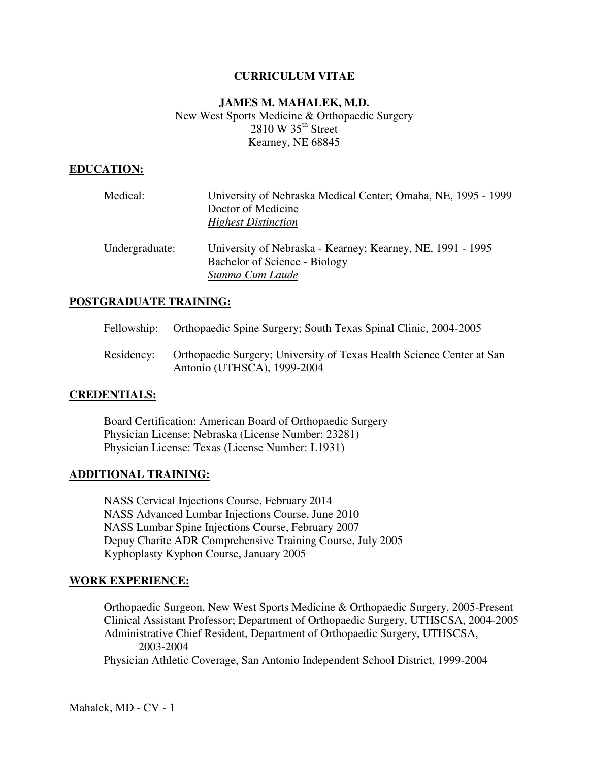# **CURRICULUM VITAE**

# **JAMES M. MAHALEK, M.D.**  New West Sports Medicine & Orthopaedic Surgery  $2810 \text{ W } 35^{\text{th}}$  Street Kearney, NE 68845

# **EDUCATION:**

| Medical:       | University of Nebraska Medical Center; Omaha, NE, 1995 - 1999<br>Doctor of Medicine<br><b>Highest Distinction</b> |
|----------------|-------------------------------------------------------------------------------------------------------------------|
| Undergraduate: | University of Nebraska - Kearney; Kearney, NE, 1991 - 1995<br>Bachelor of Science - Biology<br>Summa Cum Laude    |

### **POSTGRADUATE TRAINING:**

- Fellowship: Orthopaedic Spine Surgery; South Texas Spinal Clinic, 2004-2005
- Residency: Orthopaedic Surgery; University of Texas Health Science Center at San Antonio (UTHSCA), 1999-2004

### **CREDENTIALS:**

 Board Certification: American Board of Orthopaedic Surgery Physician License: Nebraska (License Number: 23281) Physician License: Texas (License Number: L1931)

#### **ADDITIONAL TRAINING:**

 NASS Cervical Injections Course, February 2014 NASS Advanced Lumbar Injections Course, June 2010 NASS Lumbar Spine Injections Course, February 2007 Depuy Charite ADR Comprehensive Training Course, July 2005 Kyphoplasty Kyphon Course, January 2005

#### **WORK EXPERIENCE:**

 Orthopaedic Surgeon, New West Sports Medicine & Orthopaedic Surgery, 2005-Present Clinical Assistant Professor; Department of Orthopaedic Surgery, UTHSCSA, 2004-2005 Administrative Chief Resident, Department of Orthopaedic Surgery, UTHSCSA, 2003-2004

Physician Athletic Coverage, San Antonio Independent School District, 1999-2004